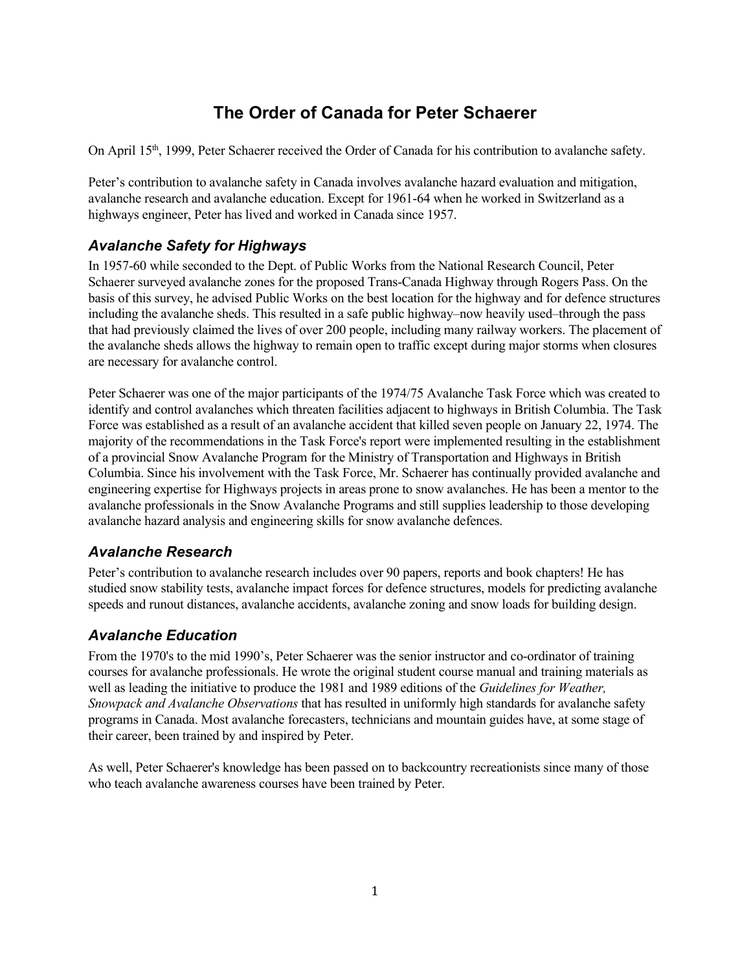# The Order of Canada for Peter Schaerer

On April 15<sup>th</sup>, 1999, Peter Schaerer received the Order of Canada for his contribution to avalanche safety.

Peter's contribution to avalanche safety in Canada involves avalanche hazard evaluation and mitigation, avalanche research and avalanche education. Except for 1961-64 when he worked in Switzerland as a highways engineer, Peter has lived and worked in Canada since 1957.

### Avalanche Safety for Highways

In 1957-60 while seconded to the Dept. of Public Works from the National Research Council, Peter Schaerer surveyed avalanche zones for the proposed Trans-Canada Highway through Rogers Pass. On the basis of this survey, he advised Public Works on the best location for the highway and for defence structures including the avalanche sheds. This resulted in a safe public highway–now heavily used–through the pass that had previously claimed the lives of over 200 people, including many railway workers. The placement of the avalanche sheds allows the highway to remain open to traffic except during major storms when closures are necessary for avalanche control.

Peter Schaerer was one of the major participants of the 1974/75 Avalanche Task Force which was created to identify and control avalanches which threaten facilities adjacent to highways in British Columbia. The Task Force was established as a result of an avalanche accident that killed seven people on January 22, 1974. The majority of the recommendations in the Task Force's report were implemented resulting in the establishment of a provincial Snow Avalanche Program for the Ministry of Transportation and Highways in British Columbia. Since his involvement with the Task Force, Mr. Schaerer has continually provided avalanche and engineering expertise for Highways projects in areas prone to snow avalanches. He has been a mentor to the avalanche professionals in the Snow Avalanche Programs and still supplies leadership to those developing avalanche hazard analysis and engineering skills for snow avalanche defences.

## Avalanche Research

Peter's contribution to avalanche research includes over 90 papers, reports and book chapters! He has studied snow stability tests, avalanche impact forces for defence structures, models for predicting avalanche speeds and runout distances, avalanche accidents, avalanche zoning and snow loads for building design.

## Avalanche Education

From the 1970's to the mid 1990's, Peter Schaerer was the senior instructor and co-ordinator of training courses for avalanche professionals. He wrote the original student course manual and training materials as well as leading the initiative to produce the 1981 and 1989 editions of the Guidelines for Weather, Snowpack and Avalanche Observations that has resulted in uniformly high standards for avalanche safety programs in Canada. Most avalanche forecasters, technicians and mountain guides have, at some stage of their career, been trained by and inspired by Peter.

As well, Peter Schaerer's knowledge has been passed on to backcountry recreationists since many of those who teach avalanche awareness courses have been trained by Peter.